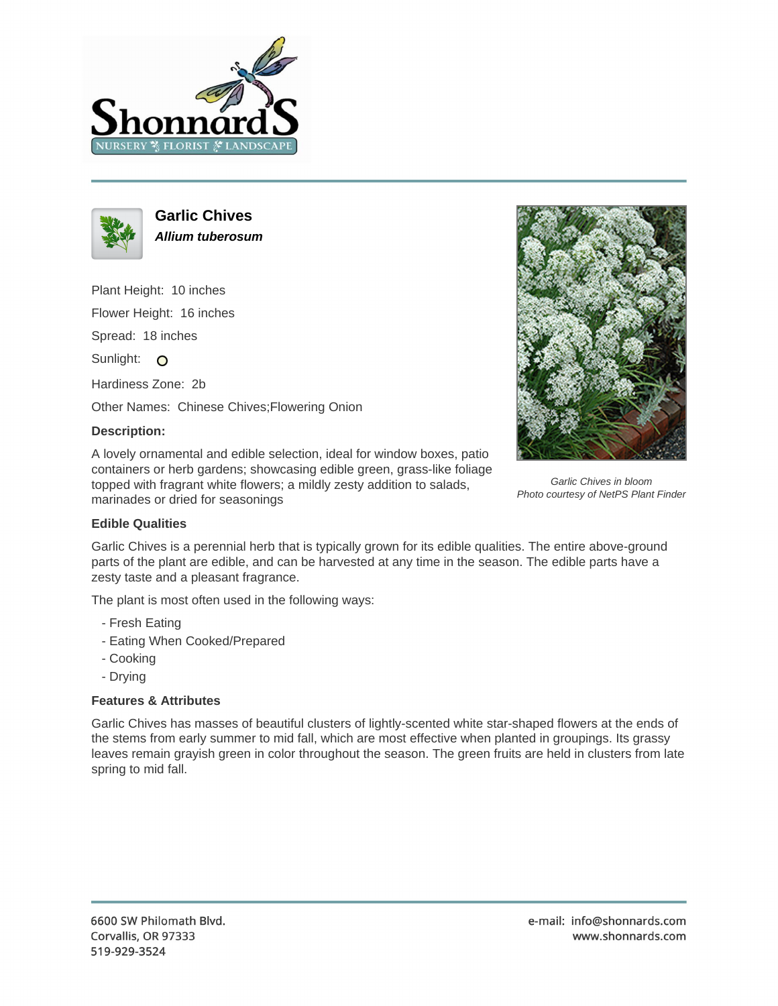



**Garlic Chives Allium tuberosum**

Plant Height: 10 inches

Flower Height: 16 inches

Spread: 18 inches

Sunlight: O

Hardiness Zone: 2b

Other Names: Chinese Chives;Flowering Onion

## **Description:**

A lovely ornamental and edible selection, ideal for window boxes, patio containers or herb gardens; showcasing edible green, grass-like foliage topped with fragrant white flowers; a mildly zesty addition to salads, marinades or dried for seasonings



Garlic Chives in bloom Photo courtesy of NetPS Plant Finder

## **Edible Qualities**

Garlic Chives is a perennial herb that is typically grown for its edible qualities. The entire above-ground parts of the plant are edible, and can be harvested at any time in the season. The edible parts have a zesty taste and a pleasant fragrance.

The plant is most often used in the following ways:

- Fresh Eating
- Eating When Cooked/Prepared
- Cooking
- Drying

## **Features & Attributes**

Garlic Chives has masses of beautiful clusters of lightly-scented white star-shaped flowers at the ends of the stems from early summer to mid fall, which are most effective when planted in groupings. Its grassy leaves remain grayish green in color throughout the season. The green fruits are held in clusters from late spring to mid fall.